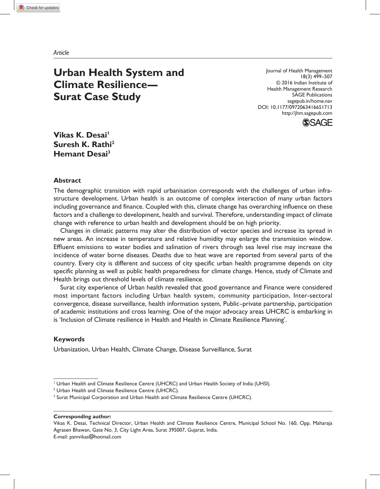# **Urban Health System and Climate Resilience— Surat Case Study**

Journal of Health Management 18(3) 499–507 © 2016 Indian Institute of Health Management Research SAGE Publications sagepub.in/home.nav DOI: 10.1177/0972063416651713 http://jhm.sagepub.com



**Vikas K. Desai<sup>1</sup> Suresh K. Rathi2 Hemant Desai3**

# **Abstract**

The demographic transition with rapid urbanisation corresponds with the challenges of urban infrastructure development. Urban health is an outcome of complex interaction of many urban factors including governance and finance. Coupled with this, climate change has overarching influence on these factors and a challenge to development, health and survival. Therefore, understanding impact of climate change with reference to urban health and development should be on high priority.

Changes in climatic patterns may alter the distribution of vector species and increase its spread in new areas. An increase in temperature and relative humidity may enlarge the transmission window. Effluent emissions to water bodies and salination of rivers through sea level rise may increase the incidence of water borne diseases. Deaths due to heat wave are reported from several parts of the country. Every city is different and success of city specific urban health programme depends on city specific planning as well as public health preparedness for climate change. Hence, study of Climate and Health brings out threshold levels of climate resilience.

Surat city experience of Urban health revealed that good governance and Finance were considered most important factors including Urban health system, community participation, Inter-sectoral convergence, disease surveillance, health information system, Public–private partnership, participation of academic institutions and cross learning. One of the major advocacy areas UHCRC is embarking in is 'Inclusion of Climate resilience in Health and Health in Climate Resilience Planning'.

# **Keywords**

Urbanization, Urban Health, Climate Change, Disease Surveillance, Surat

#### **Corresponding author:**

Vikas K. Desai, Technical Director, Urban Health and Climate Resilience Centre, Municipal School No. 160, Opp. Maharaja Agrasen Bhawan, Gate No. 3, City Light Area, Surat 395007, Gujarat, India. E-mail: psmvikas@hotmail.com

<sup>1</sup> Urban Health and Climate Resilience Centre (UHCRC) and Urban Health Society of India (UHSI).

<sup>2</sup> Urban Health and Climate Resilience Centre (UHCRC).

<sup>&</sup>lt;sup>3</sup> Surat Municipal Corporation and Urban Health and Climate Resilience Centre (UHCRC).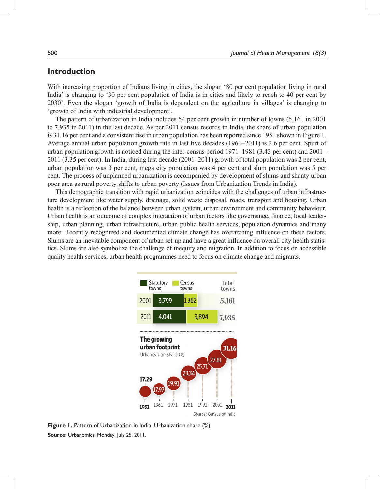# **Introduction**

With increasing proportion of Indians living in cities, the slogan '80 per cent population living in rural India' is changing to '30 per cent population of India is in cities and likely to reach to 40 per cent by 2030'. Even the slogan 'growth of India is dependent on the agriculture in villages' is changing to 'growth of India with industrial development'.

The pattern of urbanization in India includes 54 per cent growth in number of towns (5,161 in 2001 to 7,935 in 2011) in the last decade. As per 2011 census records in India, the share of urban population is 31.16 per cent and a consistent rise in urban population has been reported since 1951 shown in Figure 1. Average annual urban population growth rate in last five decades (1961–2011) is 2.6 per cent. Spurt of urban population growth is noticed during the inter-census period 1971–1981 (3.43 per cent) and 2001– 2011 (3.35 per cent). In India, during last decade (2001–2011) growth of total population was 2 per cent, urban population was 3 per cent, mega city population was 4 per cent and slum population was 5 per cent. The process of unplanned urbanization is accompanied by development of slums and shanty urban poor area as rural poverty shifts to urban poverty (Issues from Urbanization Trends in India).

This demographic transition with rapid urbanization coincides with the challenges of urban infrastructure development like water supply, drainage, solid waste disposal, roads, transport and housing. Urban health is a reflection of the balance between urban system, urban environment and community behaviour. Urban health is an outcome of complex interaction of urban factors like governance, finance, local leadership, urban planning, urban infrastructure, urban public health services, population dynamics and many more. Recently recognized and documented climate change has overarching influence on these factors. Slums are an inevitable component of urban set-up and have a great influence on overall city health statistics. Slums are also symbolize the challenge of inequity and migration. In addition to focus on accessible quality health services, urban health programmes need to focus on climate change and migrants.



**Figure 1.** Pattern of Urbanization in India. Urbanization share (%) **Source:** Urbanomics, Monday, July 25, 2011.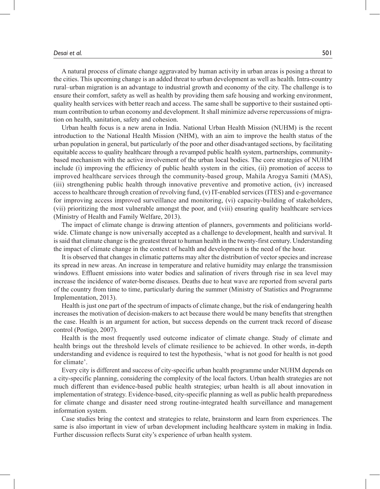A natural process of climate change aggravated by human activity in urban areas is posing a threat to the cities. This upcoming change is an added threat to urban development as well as health. Intra-country rural–urban migration is an advantage to industrial growth and economy of the city. The challenge is to ensure their comfort, safety as well as health by providing them safe housing and working environment, quality health services with better reach and access. The same shall be supportive to their sustained optimum contribution to urban economy and development. It shall minimize adverse repercussions of migration on health, sanitation, safety and cohesion.

Urban health focus is a new arena in India. National Urban Health Mission (NUHM) is the recent introduction to the National Health Mission (NHM), with an aim to improve the health status of the urban population in general, but particularly of the poor and other disadvantaged sections, by facilitating equitable access to quality healthcare through a revamped public health system, partnerships, communitybased mechanism with the active involvement of the urban local bodies. The core strategies of NUHM include (i) improving the efficiency of public health system in the cities, (ii) promotion of access to improved healthcare services through the community-based group, Mahila Arogya Samiti (MAS), (iii) strengthening public health through innovative preventive and promotive action, (iv) increased access to healthcare through creation of revolving fund, (v) IT-enabled services (ITES) and e-governance for improving access improved surveillance and monitoring, (vi) capacity-building of stakeholders, (vii) prioritizing the most vulnerable amongst the poor, and (viii) ensuring quality healthcare services (Ministry of Health and Family Welfare, 2013).

The impact of climate change is drawing attention of planners, governments and politicians worldwide. Climate change is now universally accepted as a challenge to development, health and survival. It is said that climate change is the greatest threat to human health in the twenty-first century. Understanding the impact of climate change in the context of health and development is the need of the hour.

It is observed that changes in climatic patterns may alter the distribution of vector species and increase its spread in new areas. An increase in temperature and relative humidity may enlarge the transmission windows. Effluent emissions into water bodies and salination of rivers through rise in sea level may increase the incidence of water-borne diseases. Deaths due to heat wave are reported from several parts of the country from time to time, particularly during the summer (Ministry of Statistics and Programme Implementation, 2013).

Health is just one part of the spectrum of impacts of climate change, but the risk of endangering health increases the motivation of decision-makers to act because there would be many benefits that strengthen the case. Health is an argument for action, but success depends on the current track record of disease control (Postigo, 2007).

Health is the most frequently used outcome indicator of climate change. Study of climate and health brings out the threshold levels of climate resilience to be achieved. In other words, in-depth understanding and evidence is required to test the hypothesis, 'what is not good for health is not good for climate'.

Every city is different and success of city-specific urban health programme under NUHM depends on a city-specific planning, considering the complexity of the local factors. Urban health strategies are not much different than evidence-based public health strategies; urban health is all about innovation in implementation of strategy. Evidence-based, city-specific planning as well as public health preparedness for climate change and disaster need strong routine-integrated health surveillance and management information system.

Case studies bring the context and strategies to relate, brainstorm and learn from experiences. The same is also important in view of urban development including healthcare system in making in India. Further discussion reflects Surat city's experience of urban health system.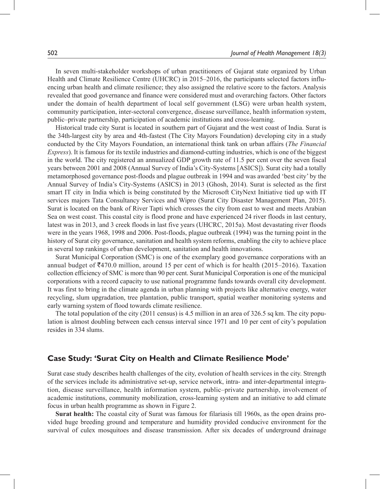In seven multi-stakeholder workshops of urban practitioners of Gujarat state organized by Urban Health and Climate Resilience Centre (UHCRC) in 2015–2016, the participants selected factors influencing urban health and climate resilience; they also assigned the relative score to the factors. Analysis revealed that good governance and finance were considered must and overarching factors. Other factors under the domain of health department of local self government (LSG) were urban health system, community participation, inter-sectoral convergence, disease surveillance, health information system, public–private partnership, participation of academic institutions and cross-learning.

Historical trade city Surat is located in southern part of Gujarat and the west coast of India. Surat is the 34th-largest city by area and 4th-fastest (The City Mayors Foundation) developing city in a study conducted by the City Mayors Foundation, an international think tank on urban affairs (*The Financial Express*). It is famous for its textile industries and diamond-cutting industries, which is one of the biggest in the world. The city registered an annualized GDP growth rate of 11.5 per cent over the seven fiscal years between 2001 and 2008 (Annual Survey of India's City-Systems [ASICS]). Surat city had a totally metamorphosed governance post-floods and plague outbreak in 1994 and was awarded 'best city' by the Annual Survey of India's City-Systems (ASICS) in 2013 (Ghosh, 2014). Surat is selected as the first smart IT city in India which is being constituted by the Microsoft CityNext Initiative tied up with IT services majors Tata Consultancy Services and Wipro (Surat City Disaster Management Plan, 2015). Surat is located on the bank of River Tapti which crosses the city from east to west and meets Arabian Sea on west coast. This coastal city is flood prone and have experienced 24 river floods in last century, latest was in 2013, and 3 creek floods in last five years (UHCRC, 2015a). Most devastating river floods were in the years 1968, 1998 and 2006. Post-floods, plague outbreak (1994) was the turning point in the history of Surat city governance, sanitation and health system reforms, enabling the city to achieve place in several top rankings of urban development, sanitation and health innovations.

Surat Municipal Corporation (SMC) is one of the exemplary good governance corporations with an annual budget of  $\bar{\mathfrak{g}}$ 470.0 million, around 15 per cent of which is for health (2015–2016). Taxation collection efficiency of SMC is more than 90 per cent. Surat Municipal Corporation is one of the municipal corporations with a record capacity to use national programme funds towards overall city development. It was first to bring in the climate agenda in urban planning with projects like alternative energy, water recycling, slum upgradation, tree plantation, public transport, spatial weather monitoring systems and early warning system of flood towards climate resilience.

The total population of the city (2011 census) is 4.5 million in an area of 326.5 sq km. The city population is almost doubling between each census interval since 1971 and 10 per cent of city's population resides in 334 slums.

# **Case Study: 'Surat City on Health and Climate Resilience Mode'**

Surat case study describes health challenges of the city, evolution of health services in the city. Strength of the services include its administrative set-up, service network, intra- and inter-departmental integration, disease surveillance, health information system, public–private partnership, involvement of academic institutions, community mobilization, cross-learning system and an initiative to add climate focus in urban health programme as shown in Figure 2.

**Surat health:** The coastal city of Surat was famous for filariasis till 1960s, as the open drains provided huge breeding ground and temperature and humidity provided conducive environment for the survival of culex mosquitoes and disease transmission. After six decades of underground drainage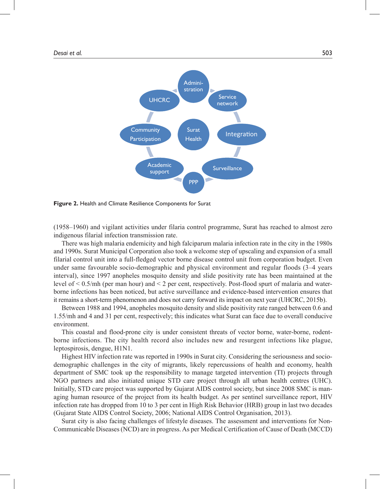

**Figure 2.** Health and Climate Resilience Components for Surat

(1958–1960) and vigilant activities under filaria control programme, Surat has reached to almost zero indigenous filarial infection transmission rate.

There was high malaria endemicity and high falciparum malaria infection rate in the city in the 1980s and 1990s. Surat Municipal Corporation also took a welcome step of upscaling and expansion of a small filarial control unit into a full-fledged vector borne disease control unit from corporation budget. Even under same favourable socio-demographic and physical environment and regular floods (3–4 years interval), since 1997 anopheles mosquito density and slide positivity rate has been maintained at the level of < 0.5/mh (per man hour) and < 2 per cent, respectively. Post-flood spurt of malaria and waterborne infections has been noticed, but active surveillance and evidence-based intervention ensures that it remains a short-term phenomenon and does not carry forward its impact on next year (UHCRC, 2015b).

Between 1988 and 1994, anopheles mosquito density and slide positivity rate ranged between 0.6 and 1.55/mh and 4 and 31 per cent, respectively; this indicates what Surat can face due to overall conducive environment.

This coastal and flood-prone city is under consistent threats of vector borne, water-borne, rodentborne infections. The city health record also includes new and resurgent infections like plague, leptospirosis, dengue, H1N1.

Highest HIV infection rate was reported in 1990s in Surat city. Considering the seriousness and sociodemographic challenges in the city of migrants, likely repercussions of health and economy, health department of SMC took up the responsibility to manage targeted intervention (TI) projects through NGO partners and also initiated unique STD care project through all urban health centres (UHC). Initially, STD care project was supported by Gujarat AIDS control society, but since 2008 SMC is managing human resource of the project from its health budget. As per sentinel surveillance report, HIV infection rate has dropped from 10 to 3 per cent in High Risk Behavior (HRB) group in last two decades (Gujarat State AIDS Control Society, 2006; National AIDS Control Organisation, 2013).

Surat city is also facing challenges of lifestyle diseases. The assessment and interventions for Non-Communicable Diseases (NCD) are in progress. As per Medical Certification of Cause of Death (MCCD)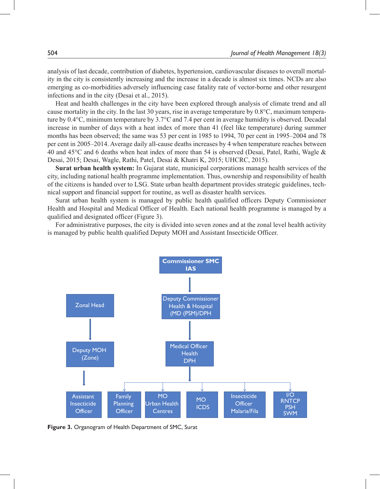analysis of last decade, contribution of diabetes, hypertension, cardiovascular diseases to overall mortality in the city is consistently increasing and the increase in a decade is almost six times. NCDs are also emerging as co-morbidities adversely influencing case fatality rate of vector-borne and other resurgent infections and in the city (Desai et al., 2015).

Heat and health challenges in the city have been explored through analysis of climate trend and all cause mortality in the city. In the last 30 years, rise in average temperature by 0.8°C, maximum temperature by 0.4°C, minimum temperature by 3.7°C and 7.4 per cent in average humidity is observed. Decadal increase in number of days with a heat index of more than 41 (feel like temperature) during summer months has been observed; the same was 53 per cent in 1985 to 1994, 70 per cent in 1995–2004 and 78 per cent in 2005–2014. Average daily all-cause deaths increases by 4 when temperature reaches between 40 and 45°C and 6 deaths when heat index of more than 54 is observed (Desai, Patel, Rathi, Wagle & Desai, 2015; Desai, Wagle, Rathi, Patel, Desai & Khatri K, 2015; UHCRC, 2015).

**Surat urban health system:** In Gujarat state, municipal corporations manage health services of the city, including national health programme implementation. Thus, ownership and responsibility of health of the citizens is handed over to LSG. State urban health department provides strategic guidelines, technical support and financial support for routine, as well as disaster health services.

Surat urban health system is managed by public health qualified officers Deputy Commissioner Health and Hospital and Medical Officer of Health. Each national health programme is managed by a qualified and designated officer (Figure 3).

For administrative purposes, the city is divided into seven zones and at the zonal level health activity is managed by public health qualified Deputy MOH and Assistant Insecticide Officer.



**Figure 3.** Organogram of Health Department of SMC, Surat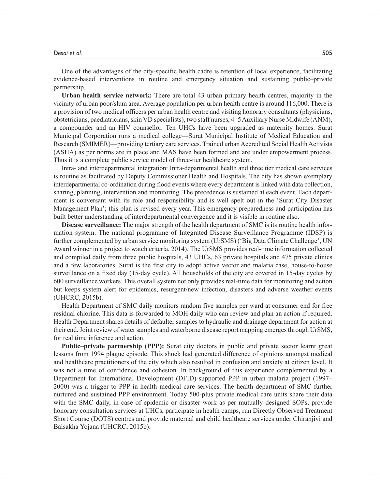One of the advantages of the city-specific health cadre is retention of local experience, facilitating evidence-based interventions in routine and emergency situation and sustaining public–private partnership.

**Urban health service network:** There are total 43 urban primary health centres, majority in the vicinity of urban poor/slum area. Average population per urban health centre is around 116,000. There is a provision of two medical officers per urban health centre and visiting honorary consultants (physicians, obstetricians, paediatricians, skin VD specialists), two staff nurses, 4–5 Auxiliary Nurse Midwife (ANM), a compounder and an HIV counsellor. Ten UHCs have been upgraded as maternity homes. Surat Municipal Corporation runs a medical college—Surat Municipal Institute of Medical Education and Research (SMIMER)—providing tertiary care services. Trained urban Accredited Social Health Activists (ASHA) as per norms are in place and MAS have been formed and are under empowerment process. Thus it is a complete public service model of three-tier healthcare system.

Intra- and interdepartmental integration: Intra-departmental health and three tier medical care services is routine as facilitated by Deputy Commissioner Health and Hospitals. The city has shown exemplary interdepartmental co-ordination during flood events where every department is linked with data collection, sharing, planning, intervention and monitoring. The precedence is sustained at each event. Each department is conversant with its role and responsibility and is well spelt out in the 'Surat City Disaster Management Plan'; this plan is revised every year. This emergency preparedness and participation has built better understanding of interdepartmental convergence and it is visible in routine also.

**Disease surveillance:** The major strength of the health department of SMC is its routine health information system. The national programme of Integrated Disease Surveillance Programme (IDSP) is further complemented by urban service monitoring system (UrSMS) ('Big Data Climate Challenge', UN Award winner in a project to watch criteria, 2014). The UrSMS provides real-time information collected and compiled daily from three public hospitals, 43 UHCs, 63 private hospitals and 475 private clinics and a few laboratories. Surat is the first city to adopt active vector and malaria case, house-to-house surveillance on a fixed day (15-day cycle). All households of the city are covered in 15-day cycles by 600 surveillance workers. This overall system not only provides real-time data for monitoring and action but keeps system alert for epidemics, resurgent/new infection, disasters and adverse weather events (UHCRC, 2015b).

Health Department of SMC daily monitors random five samples per ward at consumer end for free residual chlorine. This data is forwarded to MOH daily who can review and plan an action if required. Health Department shares details of defaulter samples to hydraulic and drainage department for action at their end. Joint review of water samples and waterborne disease report mapping emerges through UrSMS, for real time inference and action.

**Public–private partnership (PPP):** Surat city doctors in public and private sector learnt great lessons from 1994 plague episode. This shock had generated difference of opinions amongst medical and healthcare practitioners of the city which also resulted in confusion and anxiety at citizen level. It was not a time of confidence and cohesion. In background of this experience complemented by a Department for International Development (DFID)-supported PPP in urban malaria project (1997– 2000) was a trigger to PPP in health medical care services. The health department of SMC further nurtured and sustained PPP environment. Today 500-plus private medical care units share their data with the SMC daily, in case of epidemic or disaster work as per mutually designed SOPs, provide honorary consultation services at UHCs, participate in health camps, run Directly Observed Treatment Short Course (DOTS) centres and provide maternal and child healthcare services under Chiranjivi and Balsakha Yojana (UHCRC, 2015b).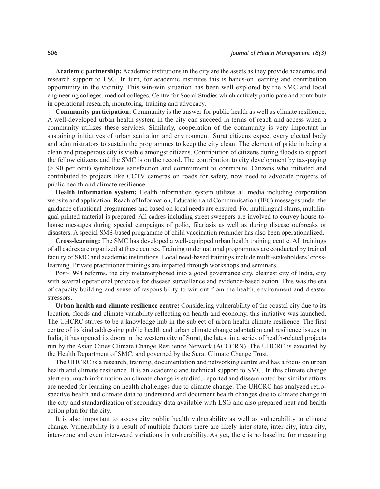**Academic partnership:** Academic institutions in the city are the assets as they provide academic and research support to LSG. In turn, for academic institutes this is hands-on learning and contribution opportunity in the vicinity. This win-win situation has been well explored by the SMC and local engineering colleges, medical colleges, Centre for Social Studies which actively participate and contribute in operational research, monitoring, training and advocacy.

**Community participation:** Community is the answer for public health as well as climate resilience. A well-developed urban health system in the city can succeed in terms of reach and access when a community utilizes these services. Similarly, cooperation of the community is very important in sustaining initiatives of urban sanitation and environment. Surat citizens expect every elected body and administrators to sustain the programmes to keep the city clean. The element of pride in being a clean and prosperous city is visible amongst citizens. Contribution of citizens during floods to support the fellow citizens and the SMC is on the record. The contribution to city development by tax-paying (> 90 per cent) symbolizes satisfaction and commitment to contribute. Citizens who initiated and contributed to projects like CCTV cameras on roads for safety, now need to advocate projects of public health and climate resilience.

**Health information system:** Health information system utilizes all media including corporation website and application. Reach of Information, Education and Communication (IEC) messages under the guidance of national programmes and based on local needs are ensured. For multilingual slums, multilingual printed material is prepared. All cadres including street sweepers are involved to convey house-tohouse messages during special campaigns of polio, filariasis as well as during disease outbreaks or disasters. A special SMS-based programme of child vaccination reminder has also been operationalized.

**Cross-learning:** The SMC has developed a well-equipped urban health training centre. All trainings of all cadres are organized at these centres. Training under national programmes are conducted by trained faculty of SMC and academic institutions. Local need-based trainings include multi-stakeholders' crosslearning. Private practitioner trainings are imparted through workshops and seminars.

Post-1994 reforms, the city metamorphosed into a good governance city, cleanest city of India, city with several operational protocols for disease surveillance and evidence-based action. This was the era of capacity building and sense of responsibility to win out from the health, environment and disaster stressors.

**Urban health and climate resilience centre:** Considering vulnerability of the coastal city due to its location, floods and climate variability reflecting on health and economy, this initiative was launched. The UHCRC strives to be a knowledge hub in the subject of urban health climate resilience. The first centre of its kind addressing public health and urban climate change adaptation and resilience issues in India, it has opened its doors in the western city of Surat, the latest in a series of health-related projects run by the Asian Cities Climate Change Resilience Network (ACCCRN). The UHCRC is executed by the Health Department of SMC, and governed by the Surat Climate Change Trust.

The UHCRC is a research, training, documentation and networking centre and has a focus on urban health and climate resilience. It is an academic and technical support to SMC. In this climate change alert era, much information on climate change is studied, reported and disseminated but similar efforts are needed for learning on health challenges due to climate change. The UHCRC has analyzed retrospective health and climate data to understand and document health changes due to climate change in the city and standardization of secondary data available with LSG and also prepared heat and health action plan for the city.

It is also important to assess city public health vulnerability as well as vulnerability to climate change. Vulnerability is a result of multiple factors there are likely inter-state, inter-city, intra-city, inter-zone and even inter-ward variations in vulnerability. As yet, there is no baseline for measuring